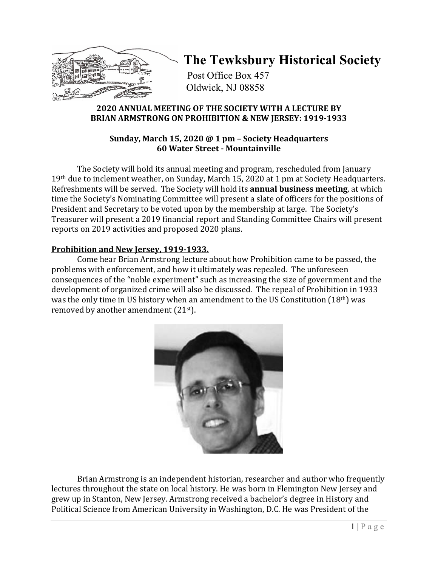

## **The Tewksbury Historical Society**

Post Office Box 457 Oldwick, NJ 08858

## **2020 ANNUAL MEETING OF THE SOCIETY WITH A LECTURE BY BRIAN ARMSTRONG ON PROHIBITION & NEW JERSEY: 1919-1933**

## **Sunday, March 15, 2020 @ 1 pm – Society Headquarters 60 Water Street - Mountainville**

The Society will hold its annual meeting and program, rescheduled from January 19th due to inclement weather, on Sunday, March 15, 2020 at 1 pm at Society Headquarters. Refreshments will be served. The Society will hold its **annual business meeting**, at which time the Society's Nominating Committee will present a slate of officers for the positions of President and Secretary to be voted upon by the membership at large. The Society's Treasurer will present a 2019 financial report and Standing Committee Chairs will present reports on 2019 activities and proposed 2020 plans.

## **Prohibition and New Jersey, 1919-1933.**

Come hear Brian Armstrong lecture about how Prohibition came to be passed, the problems with enforcement, and how it ultimately was repealed. The unforeseen consequences of the "noble experiment" such as increasing the size of government and the development of organized crime will also be discussed. The repeal of Prohibition in 1933 was the only time in US history when an amendment to the US Constitution  $(18<sup>th</sup>)$  was removed by another amendment (21st).



Brian Armstrong is an independent historian, researcher and author who frequently lectures throughout the state on local history. He was born in Flemington New Jersey and grew up in Stanton, New Jersey. Armstrong received a bachelor's degree in History and Political Science from American University in Washington, D.C. He was President of the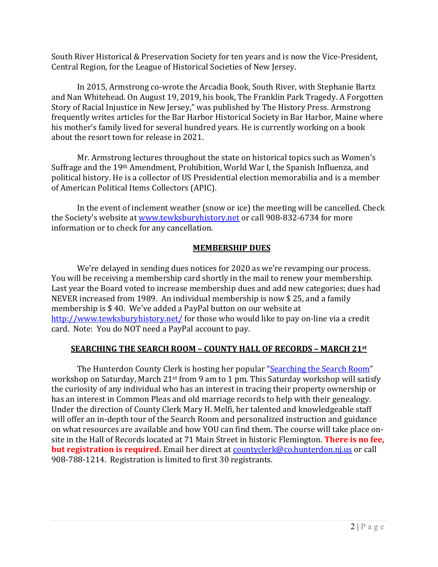South River Historical & Preservation Society for ten years and is now the Vice-President, Central Region, for the League of Historical Societies of New Jersey.

In 2015, Armstrong co-wrote the Arcadia Book, South River, with Stephanie Bartz and Nan Whitehead. On August 19, 2019, his book, The Franklin Park Tragedy. A Forgotten Story of Racial Injustice in New Jersey," was published by The History Press. Armstrong frequently writes articles for the Bar Harbor Historical Society in Bar Harbor, Maine where his mother's family lived for several hundred years. He is currently working on a book about the resort town for release in 2021.

Mr. Armstrong lectures throughout the state on historical topics such as Women's Suffrage and the 19th Amendment, Prohibition, World War I, the Spanish Influenza, and political history. He is a collector of US Presidential election memorabilia and is a member of American Political Items Collectors (APIC).

In the event of inclement weather (snow or ice) the meeting will be cancelled. Check the Society's website at [www.tewksburyhistory.net](http://www.tewksburyhistory.net/) or call 908-832-6734 for more information or to check for any cancellation.

### **MEMBERSHIP DUES**

We're delayed in sending dues notices for 2020 as we're revamping our process. You will be receiving a membership card shortly in the mail to renew your membership. Last year the Board voted to increase membership dues and add new categories; dues had NEVER increased from 1989. An individual membership is now \$ 25, and a family membership is \$ 40. We've added a PayPal button on our website at <http://www.tewksburyhistory.net/> for those who would like to pay on-line via a credit card. Note: You do NOT need a PayPal account to pay.

## **SEARCHING THE SEARCH ROOM – COUNTY HALL OF RECORDS – MARCH 21st**

The Hunterdon County Clerk is hosting her popular ["Searching the Search Room"](http://www.co.hunterdon.nj.us/countyclerk/PDF/2020/SearchingtheSearchRoom.pdf) workshop on Saturday, March 21st from 9 am to 1 pm. This Saturday workshop will satisfy the curiosity of any individual who has an interest in tracing their property ownership or has an interest in Common Pleas and old marriage records to help with their genealogy. Under the direction of County Clerk Mary H. Melfi, her talented and knowledgeable staff will offer an in-depth tour of the Search Room and personalized instruction and guidance on what resources are available and how YOU can find them. The course will take place onsite in the Hall of Records located at 71 Main Street in historic Flemington. **There is no fee, but registration is required.** Email her direct a[t countyclerk@co.hunterdon.nj.us](mailto:countyclerk@co.hunterdon.nj.us) or call 908-788-1214. Registration is limited to first 30 registrants.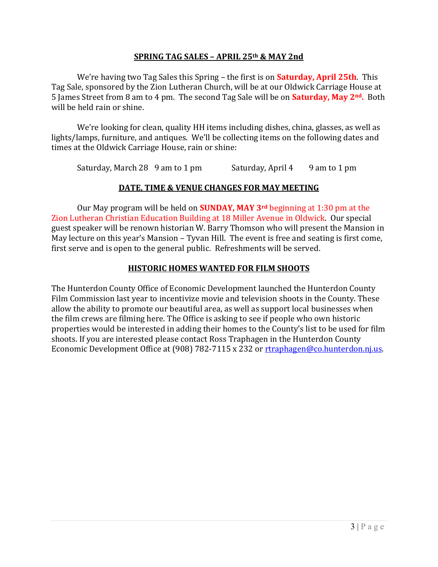#### **SPRING TAG SALES – APRIL 25th & MAY 2nd**

We're having two Tag Sales this Spring – the first is on **Saturday, April 25th**. This Tag Sale, sponsored by the Zion Lutheran Church, will be at our Oldwick Carriage House at 5 James Street from 8 am to 4 pm. The second Tag Sale will be on **Saturday, May 2nd.** Both will be held rain or shine.

We're looking for clean, quality HH items including dishes, china, glasses, as well as lights/lamps, furniture, and antiques. We'll be collecting items on the following dates and times at the Oldwick Carriage House, rain or shine:

Saturday, March 28 9 am to 1 pm Saturday, April 4 9 am to 1 pm

#### **DATE, TIME & VENUE CHANGES FOR MAY MEETING**

Our May program will be held on **SUNDAY, MAY 3rd** beginning at 1:30 pm at the Zion Lutheran Christian Education Building at 18 Miller Avenue in Oldwick. Our special guest speaker will be renown historian W. Barry Thomson who will present the Mansion in May lecture on this year's Mansion – Tyvan Hill. The event is free and seating is first come, first serve and is open to the general public. Refreshments will be served.

#### **HISTORIC HOMES WANTED FOR FILM SHOOTS**

The Hunterdon County Office of Economic Development launched the Hunterdon County Film Commission last year to incentivize movie and television shoots in the County. These allow the ability to promote our beautiful area, as well as support local businesses when the film crews are filming here. The Office is asking to see if people who own historic properties would be interested in adding their homes to the County's list to be used for film shoots. If you are interested please contact Ross Traphagen in the Hunterdon County Economic Development Office at (908) 782-7115 x 232 or [rtraphagen@co.hunterdon.nj.us.](mailto:rtraphagen@co.hunterdon.nj.us)